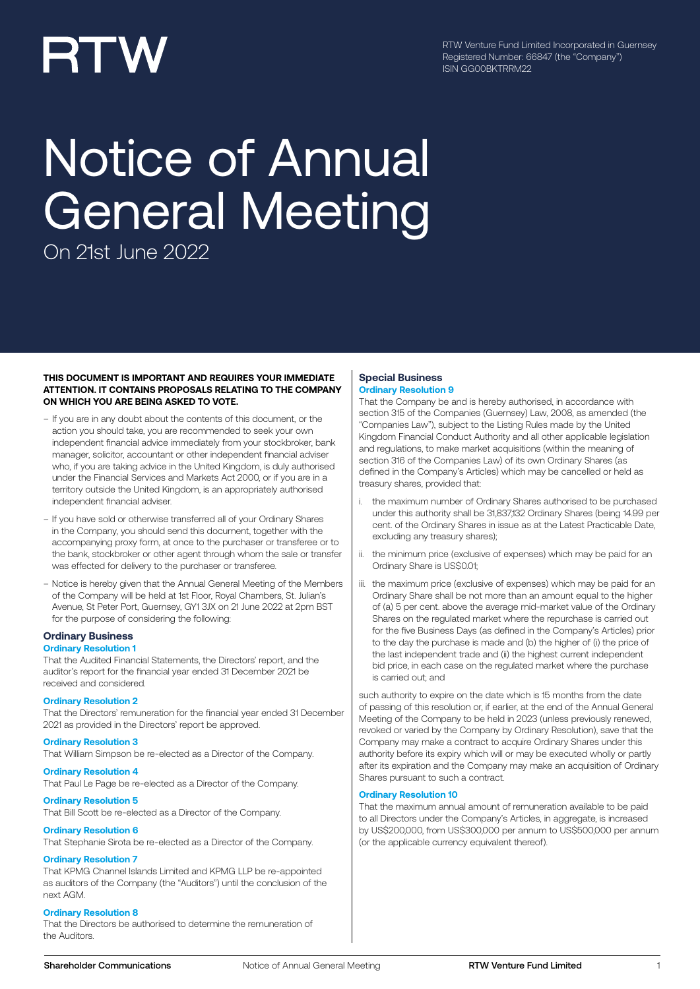# RTW

RTW Venture Fund Limited Incorporated in Guernsey Registered Number: 66847 (the "Company") ISIN GG00BKTRRM22

# Notice of Annual General Meeting

On 21st June 2022

#### **THIS DOCUMENT IS IMPORTANT AND REQUIRES YOUR IMMEDIATE ATTENTION. IT CONTAINS PROPOSALS RELATING TO THE COMPANY ON WHICH YOU ARE BEING ASKED TO VOTE.**

- If you are in any doubt about the contents of this document, or the action you should take, you are recommended to seek your own independent financial advice immediately from your stockbroker, bank manager, solicitor, accountant or other independent financial adviser who, if you are taking advice in the United Kingdom, is duly authorised under the Financial Services and Markets Act 2000, or if you are in a territory outside the United Kingdom, is an appropriately authorised independent financial adviser.
- If you have sold or otherwise transferred all of your Ordinary Shares in the Company, you should send this document, together with the accompanying proxy form, at once to the purchaser or transferee or to the bank, stockbroker or other agent through whom the sale or transfer was effected for delivery to the purchaser or transferee.
- Notice is hereby given that the Annual General Meeting of the Members of the Company will be held at 1st Floor, Royal Chambers, St. Julian's Avenue, St Peter Port, Guernsey, GY1 3JX on 21 June 2022 at 2pm BST for the purpose of considering the following:

### **Ordinary Business**

#### **Ordinary Resolution 1**

That the Audited Financial Statements, the Directors' report, and the auditor's report for the financial year ended 31 December 2021 be received and considered.

#### **Ordinary Resolution 2**

That the Directors' remuneration for the financial year ended 31 December 2021 as provided in the Directors' report be approved.

#### **Ordinary Resolution 3**

That William Simpson be re-elected as a Director of the Company.

#### **Ordinary Resolution 4** That Paul Le Page be re-elected as a Director of the Company.

**Ordinary Resolution 5**

That Bill Scott be re-elected as a Director of the Company.

#### **Ordinary Resolution 6**

That Stephanie Sirota be re-elected as a Director of the Company.

#### **Ordinary Resolution 7**

That KPMG Channel Islands Limited and KPMG LLP be re-appointed as auditors of the Company (the "Auditors") until the conclusion of the next AGM.

#### **Ordinary Resolution 8**

That the Directors be authorised to determine the remuneration of the Auditors.

#### **Special Business Ordinary Resolution 9**

That the Company be and is hereby authorised, in accordance with section 315 of the Companies (Guernsey) Law, 2008, as amended (the "Companies Law"), subject to the Listing Rules made by the United Kingdom Financial Conduct Authority and all other applicable legislation and regulations, to make market acquisitions (within the meaning of section 316 of the Companies Law) of its own Ordinary Shares (as defined in the Company's Articles) which may be cancelled or held as treasury shares, provided that:

- the maximum number of Ordinary Shares authorised to be purchased under this authority shall be 31,837,132 Ordinary Shares (being 14.99 per cent. of the Ordinary Shares in issue as at the Latest Practicable Date, excluding any treasury shares);
- ii. the minimum price (exclusive of expenses) which may be paid for an Ordinary Share is US\$0.01;
- iii. the maximum price (exclusive of expenses) which may be paid for an Ordinary Share shall be not more than an amount equal to the higher of (a) 5 per cent. above the average mid-market value of the Ordinary Shares on the regulated market where the repurchase is carried out for the five Business Days (as defined in the Company's Articles) prior to the day the purchase is made and (b) the higher of (i) the price of the last independent trade and (ii) the highest current independent bid price, in each case on the regulated market where the purchase is carried out; and

such authority to expire on the date which is 15 months from the date of passing of this resolution or, if earlier, at the end of the Annual General Meeting of the Company to be held in 2023 (unless previously renewed, revoked or varied by the Company by Ordinary Resolution), save that the Company may make a contract to acquire Ordinary Shares under this authority before its expiry which will or may be executed wholly or partly after its expiration and the Company may make an acquisition of Ordinary Shares pursuant to such a contract.

#### **Ordinary Resolution 10**

That the maximum annual amount of remuneration available to be paid to all Directors under the Company's Articles, in aggregate, is increased by US\$200,000, from US\$300,000 per annum to US\$500,000 per annum (or the applicable currency equivalent thereof).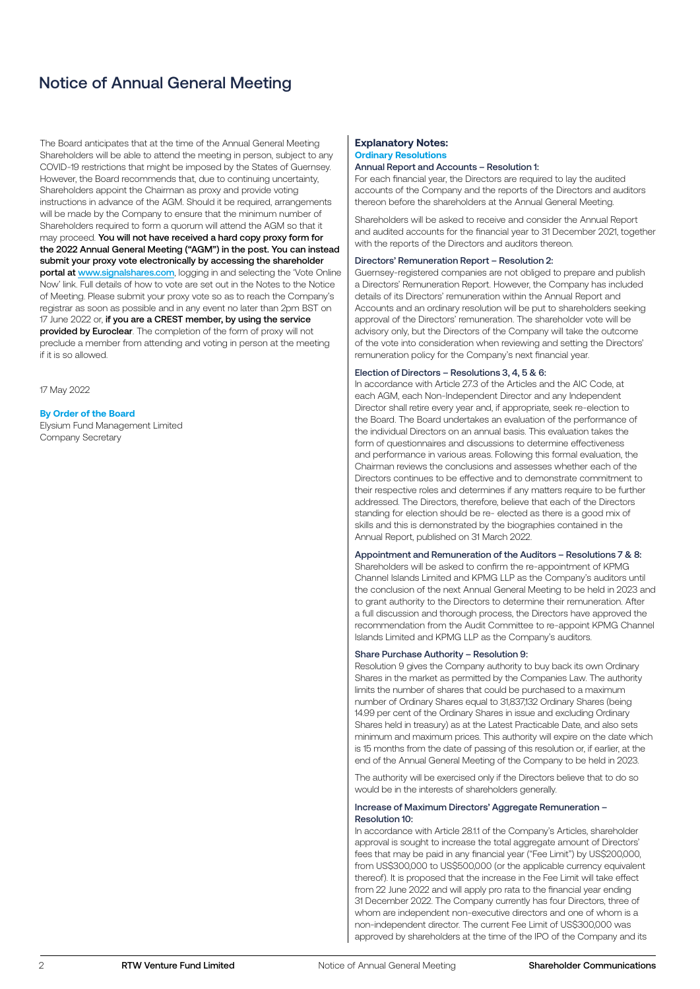## Notice of Annual General Meeting

The Board anticipates that at the time of the Annual General Meeting Shareholders will be able to attend the meeting in person, subject to any COVID-19 restrictions that might be imposed by the States of Guernsey. However, the Board recommends that, due to continuing uncertainty, Shareholders appoint the Chairman as proxy and provide voting instructions in advance of the AGM. Should it be required, arrangements will be made by the Company to ensure that the minimum number of Shareholders required to form a quorum will attend the AGM so that it may proceed. You will not have received a hard copy proxy form for the 2022 Annual General Meeting ("AGM") in the post. You can instead submit your proxy vote electronically by accessing the shareholder portal at www.signalshares.com, logging in and selecting the 'Vote Online Now' link. Full details of how to vote are set out in the Notes to the Notice of Meeting. Please submit your proxy vote so as to reach the Company's registrar as soon as possible and in any event no later than 2pm BST on 17 June 2022 or, if you are a CREST member, by using the service provided by Euroclear. The completion of the form of proxy will not preclude a member from attending and voting in person at the meeting if it is so allowed.

17 May 2022

#### **By Order of the Board**

Elysium Fund Management Limited Company Secretary

#### **Explanatory Notes: Ordinary Resolutions**

#### Annual Report and Accounts – Resolution 1:

For each financial year, the Directors are required to lay the audited accounts of the Company and the reports of the Directors and auditors thereon before the shareholders at the Annual General Meeting.

Shareholders will be asked to receive and consider the Annual Report and audited accounts for the financial year to 31 December 2021, together with the reports of the Directors and auditors thereon.

#### Directors' Remuneration Report – Resolution 2:

Guernsey-registered companies are not obliged to prepare and publish a Directors' Remuneration Report. However, the Company has included details of its Directors' remuneration within the Annual Report and Accounts and an ordinary resolution will be put to shareholders seeking approval of the Directors' remuneration. The shareholder vote will be advisory only, but the Directors of the Company will take the outcome of the vote into consideration when reviewing and setting the Directors' remuneration policy for the Company's next financial year.

#### Election of Directors – Resolutions 3, 4, 5 & 6:

In accordance with Article 27.3 of the Articles and the AIC Code, at each AGM, each Non-Independent Director and any Independent Director shall retire every year and, if appropriate, seek re-election to the Board. The Board undertakes an evaluation of the performance of the individual Directors on an annual basis. This evaluation takes the form of questionnaires and discussions to determine effectiveness and performance in various areas. Following this formal evaluation, the Chairman reviews the conclusions and assesses whether each of the Directors continues to be effective and to demonstrate commitment to their respective roles and determines if any matters require to be further addressed. The Directors, therefore, believe that each of the Directors standing for election should be re- elected as there is a good mix of skills and this is demonstrated by the biographies contained in the Annual Report, published on 31 March 2022.

#### Appointment and Remuneration of the Auditors – Resolutions 7 & 8:

Shareholders will be asked to confirm the re-appointment of KPMG Channel Islands Limited and KPMG LLP as the Company's auditors until the conclusion of the next Annual General Meeting to be held in 2023 and to grant authority to the Directors to determine their remuneration. After a full discussion and thorough process, the Directors have approved the recommendation from the Audit Committee to re-appoint KPMG Channel Islands Limited and KPMG LLP as the Company's auditors.

#### Share Purchase Authority – Resolution 9:

Resolution 9 gives the Company authority to buy back its own Ordinary Shares in the market as permitted by the Companies Law. The authority limits the number of shares that could be purchased to a maximum number of Ordinary Shares equal to 31,837,132 Ordinary Shares (being 14.99 per cent of the Ordinary Shares in issue and excluding Ordinary Shares held in treasury) as at the Latest Practicable Date, and also sets minimum and maximum prices. This authority will expire on the date which is 15 months from the date of passing of this resolution or, if earlier, at the end of the Annual General Meeting of the Company to be held in 2023.

The authority will be exercised only if the Directors believe that to do so would be in the interests of shareholders generally.

#### Increase of Maximum Directors' Aggregate Remuneration – Resolution 10:

In accordance with Article 28.1.1 of the Company's Articles, shareholder approval is sought to increase the total aggregate amount of Directors' fees that may be paid in any financial year ("Fee Limit") by US\$200,000, from US\$300,000 to US\$500,000 (or the applicable currency equivalent thereof). It is proposed that the increase in the Fee Limit will take effect from 22 June 2022 and will apply pro rata to the financial year ending 31 December 2022. The Company currently has four Directors, three of whom are independent non-executive directors and one of whom is a non-independent director. The current Fee Limit of US\$300,000 was approved by shareholders at the time of the IPO of the Company and its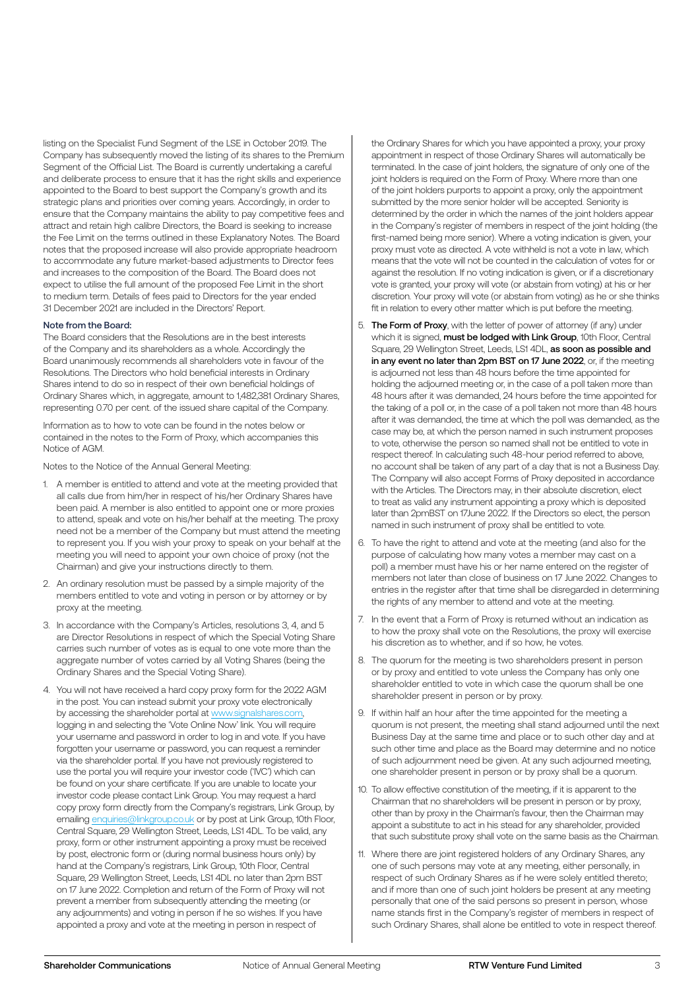listing on the Specialist Fund Segment of the LSE in October 2019. The Company has subsequently moved the listing of its shares to the Premium Segment of the Official List. The Board is currently undertaking a careful and deliberate process to ensure that it has the right skills and experience appointed to the Board to best support the Company's growth and its strategic plans and priorities over coming years. Accordingly, in order to ensure that the Company maintains the ability to pay competitive fees and attract and retain high calibre Directors, the Board is seeking to increase the Fee Limit on the terms outlined in these Explanatory Notes. The Board notes that the proposed increase will also provide appropriate headroom to accommodate any future market-based adjustments to Director fees and increases to the composition of the Board. The Board does not expect to utilise the full amount of the proposed Fee Limit in the short to medium term. Details of fees paid to Directors for the year ended 31 December 2021 are included in the Directors' Report.

#### Note from the Board:

The Board considers that the Resolutions are in the best interests of the Company and its shareholders as a whole. Accordingly the Board unanimously recommends all shareholders vote in favour of the Resolutions. The Directors who hold beneficial interests in Ordinary Shares intend to do so in respect of their own beneficial holdings of Ordinary Shares which, in aggregate, amount to 1,482,381 Ordinary Shares, representing 0.70 per cent. of the issued share capital of the Company.

Information as to how to vote can be found in the notes below or contained in the notes to the Form of Proxy, which accompanies this Notice of AGM.

Notes to the Notice of the Annual General Meeting:

- 1. A member is entitled to attend and vote at the meeting provided that all calls due from him/her in respect of his/her Ordinary Shares have been paid. A member is also entitled to appoint one or more proxies to attend, speak and vote on his/her behalf at the meeting. The proxy need not be a member of the Company but must attend the meeting to represent you. If you wish your proxy to speak on your behalf at the meeting you will need to appoint your own choice of proxy (not the Chairman) and give your instructions directly to them.
- 2. An ordinary resolution must be passed by a simple majority of the members entitled to vote and voting in person or by attorney or by proxy at the meeting.
- 3. In accordance with the Company's Articles, resolutions 3, 4, and 5 are Director Resolutions in respect of which the Special Voting Share carries such number of votes as is equal to one vote more than the aggregate number of votes carried by all Voting Shares (being the Ordinary Shares and the Special Voting Share).
- 4. You will not have received a hard copy proxy form for the 2022 AGM in the post. You can instead submit your proxy vote electronically by accessing the shareholder portal at www.signalshares.com, logging in and selecting the 'Vote Online Now' link. You will require your username and password in order to log in and vote. If you have forgotten your username or password, you can request a reminder via the shareholder portal. If you have not previously registered to use the portal you will require your investor code ('IVC') which can be found on your share certificate. If you are unable to locate your investor code please contact Link Group. You may request a hard copy proxy form directly from the Company's registrars, Link Group, by emailing enquiries@linkgroup.co.uk or by post at Link Group, 10th Floor, Central Square, 29 Wellington Street, Leeds, LS1 4DL. To be valid, any proxy, form or other instrument appointing a proxy must be received by post, electronic form or (during normal business hours only) by hand at the Company's registrars, Link Group, 10th Floor, Central Square, 29 Wellington Street, Leeds, LS1 4DL no later than 2pm BST on 17 June 2022. Completion and return of the Form of Proxy will not prevent a member from subsequently attending the meeting (or any adjournments) and voting in person if he so wishes. If you have appointed a proxy and vote at the meeting in person in respect of

the Ordinary Shares for which you have appointed a proxy, your proxy appointment in respect of those Ordinary Shares will automatically be terminated. In the case of joint holders, the signature of only one of the joint holders is required on the Form of Proxy. Where more than one of the joint holders purports to appoint a proxy, only the appointment submitted by the more senior holder will be accepted. Seniority is determined by the order in which the names of the joint holders appear in the Company's register of members in respect of the joint holding (the first-named being more senior). Where a voting indication is given, your proxy must vote as directed. A vote withheld is not a vote in law, which means that the vote will not be counted in the calculation of votes for or against the resolution. If no voting indication is given, or if a discretionary vote is granted, your proxy will vote (or abstain from voting) at his or her discretion. Your proxy will vote (or abstain from voting) as he or she thinks fit in relation to every other matter which is put before the meeting.

- 5. The Form of Proxy, with the letter of power of attorney (if any) under which it is signed, must be lodged with Link Group, 10th Floor, Central Square, 29 Wellington Street, Leeds, LS1 4DL, as soon as possible and in any event no later than 2pm BST on 17 June 2022, or, if the meeting is adjourned not less than 48 hours before the time appointed for holding the adjourned meeting or, in the case of a poll taken more than 48 hours after it was demanded, 24 hours before the time appointed for the taking of a poll or, in the case of a poll taken not more than 48 hours after it was demanded, the time at which the poll was demanded, as the case may be, at which the person named in such instrument proposes to vote, otherwise the person so named shall not be entitled to vote in respect thereof. In calculating such 48-hour period referred to above, no account shall be taken of any part of a day that is not a Business Day. The Company will also accept Forms of Proxy deposited in accordance with the Articles. The Directors may, in their absolute discretion, elect to treat as valid any instrument appointing a proxy which is deposited later than 2pmBST on 17June 2022. If the Directors so elect, the person named in such instrument of proxy shall be entitled to vote.
- 6. To have the right to attend and vote at the meeting (and also for the purpose of calculating how many votes a member may cast on a poll) a member must have his or her name entered on the register of members not later than close of business on 17 June 2022. Changes to entries in the register after that time shall be disregarded in determining the rights of any member to attend and vote at the meeting.
- 7. In the event that a Form of Proxy is returned without an indication as to how the proxy shall vote on the Resolutions, the proxy will exercise his discretion as to whether, and if so how, he votes.
- 8. The quorum for the meeting is two shareholders present in person or by proxy and entitled to vote unless the Company has only one shareholder entitled to vote in which case the quorum shall be one shareholder present in person or by proxy.
- 9. If within half an hour after the time appointed for the meeting a quorum is not present, the meeting shall stand adjourned until the next Business Day at the same time and place or to such other day and at such other time and place as the Board may determine and no notice of such adjournment need be given. At any such adjourned meeting, one shareholder present in person or by proxy shall be a quorum.
- 10. To allow effective constitution of the meeting, if it is apparent to the Chairman that no shareholders will be present in person or by proxy, other than by proxy in the Chairman's favour, then the Chairman may appoint a substitute to act in his stead for any shareholder, provided that such substitute proxy shall vote on the same basis as the Chairman.
- 11. Where there are joint registered holders of any Ordinary Shares, any one of such persons may vote at any meeting, either personally, in respect of such Ordinary Shares as if he were solely entitled thereto; and if more than one of such joint holders be present at any meeting personally that one of the said persons so present in person, whose name stands first in the Company's register of members in respect of such Ordinary Shares, shall alone be entitled to vote in respect thereof.